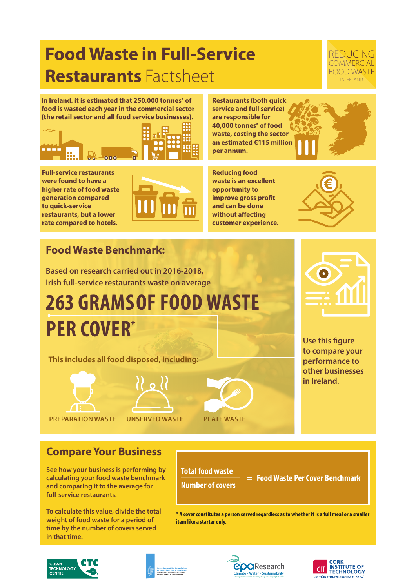## **Food Waste in Full-Service Restaurants** Factsheet

#### REDUCING **COMMERCIAL** FOOD WASTE IN IRELAND

In Ireland, it is estimated that 250,000 tonnes<sup>a</sup> of **food is wasted each year in the commercial sector (the retail sector and all food service businesses).** 



**Full-service restaurants were found to have a higher rate of food waste generation compared to quick-service restaurants, but a lower rate compared to hotels.** 



**Restaurants (both quick service and full service) are responsible for 40,000 tonnesa of food waste, costing the sector an estimated €115 million per annum.**

**Reducing food waste is an excellent opportunity to improve gross profit and can be done without affecting customer experience.** 



### **Food Waste Benchmark:**

**Based on research carried out in 2016-2018, Irish full-service restaurants waste on average** 

# **263 GRAMS OF FOOD WASTE PER COVER\***

**This includes all food disposed, including:**



**PREPARATION WASTE UNSERVED WASTE PLATE WASTE**



**Use this figure to compare your performance to other businesses in Ireland.** 

**Compare Your Business**

**See how your business is performing by calculating your food waste benchmark and comparing it to the average for full-service restaurants.** 

**To calculate this value, divide the total weight of food waste for a period of time by the number of covers served in that time.**

**Total food waste \_\_\_\_\_\_\_\_\_\_\_\_\_ Number of covers**

 **= Food Waste Per Cover Benchmark**

**\* A cover constitutes a person served regardless as to whether it is a full meal or a smaller item like a starter only.**